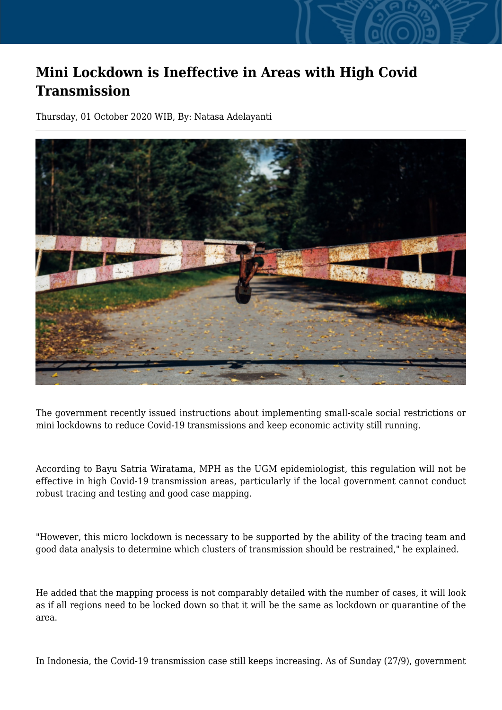## **Mini Lockdown is Ineffective in Areas with High Covid Transmission**

Thursday, 01 October 2020 WIB, By: Natasa Adelayanti



The government recently issued instructions about implementing small-scale social restrictions or mini lockdowns to reduce Covid-19 transmissions and keep economic activity still running.

According to Bayu Satria Wiratama, MPH as the UGM epidemiologist, this regulation will not be effective in high Covid-19 transmission areas, particularly if the local government cannot conduct robust tracing and testing and good case mapping.

"However, this micro lockdown is necessary to be supported by the ability of the tracing team and good data analysis to determine which clusters of transmission should be restrained," he explained.

He added that the mapping process is not comparably detailed with the number of cases, it will look as if all regions need to be locked down so that it will be the same as lockdown or quarantine of the area.

In Indonesia, the Covid-19 transmission case still keeps increasing. As of Sunday (27/9), government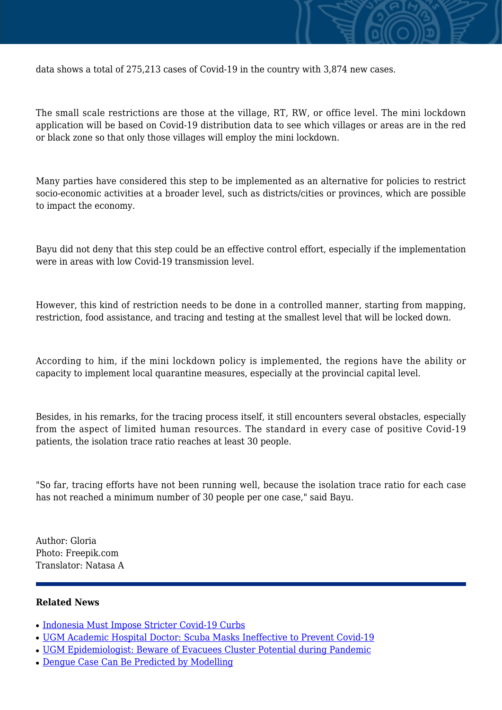

data shows a total of 275,213 cases of Covid-19 in the country with 3,874 new cases.

The small scale restrictions are those at the village, RT, RW, or office level. The mini lockdown application will be based on Covid-19 distribution data to see which villages or areas are in the red or black zone so that only those villages will employ the mini lockdown.

Many parties have considered this step to be implemented as an alternative for policies to restrict socio-economic activities at a broader level, such as districts/cities or provinces, which are possible to impact the economy.

Bayu did not deny that this step could be an effective control effort, especially if the implementation were in areas with low Covid-19 transmission level.

However, this kind of restriction needs to be done in a controlled manner, starting from mapping, restriction, food assistance, and tracing and testing at the smallest level that will be locked down.

According to him, if the mini lockdown policy is implemented, the regions have the ability or capacity to implement local quarantine measures, especially at the provincial capital level.

Besides, in his remarks, for the tracing process itself, it still encounters several obstacles, especially from the aspect of limited human resources. The standard in every case of positive Covid-19 patients, the isolation trace ratio reaches at least 30 people.

"So far, tracing efforts have not been running well, because the isolation trace ratio for each case has not reached a minimum number of 30 people per one case," said Bayu.

Author: Gloria Photo: Freepik.com Translator: Natasa A

## **Related News**

- [Indonesia Must Impose Stricter Covid-19 Curbs](http://ugm.ac.id/www.ugm.ac.id//en/news/20072-ugm-epidemiologist-beware-of-evacuees-cluster-potential-during-pandemic)
- [UGM Academic Hospital Doctor: Scuba Masks Ineffective to Prevent Covid-19](http://ugm.ac.id/www.ugm.ac.id//en/news/16604-dengue-case-can-be-predicted-by-modelling)
- [UGM Epidemiologist: Beware of Evacuees Cluster Potential during Pandemic](http://ugm.ac.id/www.ugm.ac.id//en/news/19260-can-ac-increase-the-risk-of-covid-19-infection)
- [Dengue Case Can Be Predicted by Modelling](http://ugm.ac.id/www.ugm.ac.id//en/news/20709-indonesia-must-impose-stricter-covid-19-curbs)